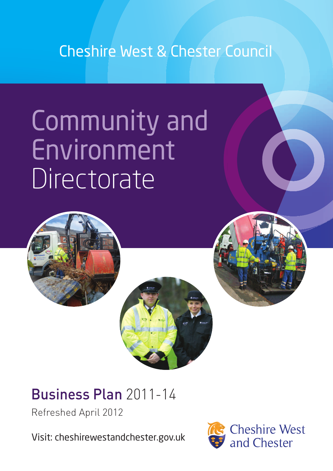# Cheshire West & Chester Council

# Community and Environment **Directorate**



# Business Plan 2011-14

Refreshed April 2012

Visit: cheshirewestandchester.gov.uk

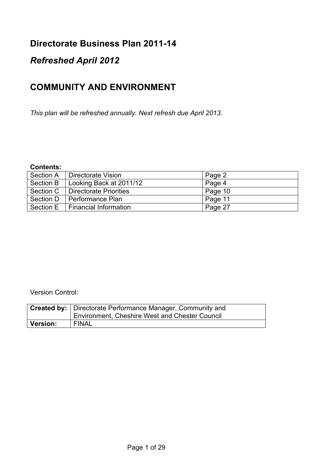#### **Directorate Business Plan 2011-14**

### *Refreshed April 2012*

## **COMMUNITY AND ENVIRONMENT**

*This plan will be refreshed annually. Next refresh due April 2013.*

#### **Contents:**

| Section A | Directorate Vision            | Page 2  |
|-----------|-------------------------------|---------|
| Section B | Looking Back at 2011/12       | Page 4  |
| Section C | <b>Directorate Priorities</b> | Page 10 |
| Section D | I Performance Plan            | Page 11 |
| Section E | <b>Financial Information</b>  | Page 27 |

Version Control:

|                 | <b>Created by:</b>   Directorate Performance Manager, Community and |
|-----------------|---------------------------------------------------------------------|
|                 | <b>Environment, Cheshire West and Chester Council</b>               |
| <b>Version:</b> | <b>FINAL</b>                                                        |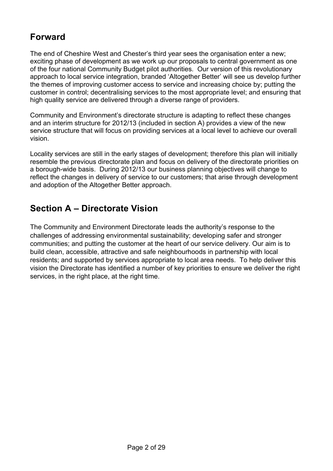## **Forward**

The end of Cheshire West and Chester's third year sees the organisation enter a new; exciting phase of development as we work up our proposals to central government as one of the four national Community Budget pilot authorities. Our version of this revolutionary approach to local service integration, branded 'Altogether Better' will see us develop further the themes of improving customer access to service and increasing choice by; putting the customer in control; decentralising services to the most appropriate level; and ensuring that high quality service are delivered through a diverse range of providers.

Community and Environment's directorate structure is adapting to reflect these changes and an interim structure for 2012/13 (included in section A) provides a view of the new service structure that will focus on providing services at a local level to achieve our overall vision.

Locality services are still in the early stages of development; therefore this plan will initially resemble the previous directorate plan and focus on delivery of the directorate priorities on a borough-wide basis. During 2012/13 our business planning objectives will change to reflect the changes in delivery of service to our customers; that arise through development and adoption of the Altogether Better approach.

# **Section A – Directorate Vision**

The Community and Environment Directorate leads the authority's response to the challenges of addressing environmental sustainability; developing safer and stronger communities; and putting the customer at the heart of our service delivery. Our aim is to build clean, accessible, attractive and safe neighbourhoods in partnership with local residents; and supported by services appropriate to local area needs. To help deliver this vision the Directorate has identified a number of key priorities to ensure we deliver the right services, in the right place, at the right time.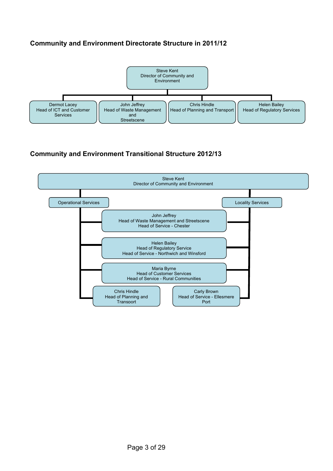#### **Community and Environment Directorate Structure in 2011/12**



#### **Community and Environment Transitional Structure 2012/13**

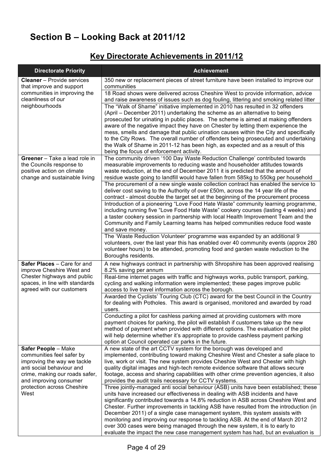# **Section B – Looking Back at 2011/12**

### **Key Directorate Achievements in 2011/12**

| <b>Directorate Priority</b>                                                                                                                                              | <b>Achievement</b>                                                                                                                                                                                                                                                                                                                                                                                                                                                                                                                                                                                                                                                                         |
|--------------------------------------------------------------------------------------------------------------------------------------------------------------------------|--------------------------------------------------------------------------------------------------------------------------------------------------------------------------------------------------------------------------------------------------------------------------------------------------------------------------------------------------------------------------------------------------------------------------------------------------------------------------------------------------------------------------------------------------------------------------------------------------------------------------------------------------------------------------------------------|
| <b>Cleaner</b> - Provide services                                                                                                                                        | 350 new or replacement pieces of street furniture have been installed to improve our<br>communities                                                                                                                                                                                                                                                                                                                                                                                                                                                                                                                                                                                        |
| that improve and support<br>communities in improving the<br>cleanliness of our                                                                                           | 18 Road shows were delivered across Cheshire West to provide information, advice<br>and raise awareness of issues such as dog fouling, littering and smoking related litter                                                                                                                                                                                                                                                                                                                                                                                                                                                                                                                |
| neighbourhoods                                                                                                                                                           | The "Walk of Shame" initiative implemented in 2010 has resulted in 32 offenders<br>(April – December 2011) undertaking the scheme as an alternative to being<br>prosecuted for urinating in public places. The scheme is aimed at making offenders<br>aware of the negative impact they have on Chester by letting them experience the<br>mess, smells and damage that public urination causes within the City and specifically<br>to the City Rows. The overall number of offenders being prosecuted and undertaking<br>the Walk of Shame in 2011-12 has been high, as expected and as a result of this<br>being the focus of enforcement activity.                                       |
| Greener - Take a lead role in<br>the Councils response to<br>positive action on climate<br>change and sustainable living                                                 | The community driven '100 Day Waste Reduction Challenge' contributed towards<br>measurable improvements to reducing waste and householder attitudes towards<br>waste reduction, at the end of December 2011 it is predicted that the amount of<br>residue waste going to landfill would have fallen from 585kg to 550kg per household                                                                                                                                                                                                                                                                                                                                                      |
|                                                                                                                                                                          | The procurement of a new single waste collection contract has enabled the service to<br>deliver cost saving to the Authority of over £50m, across the 14 year life of the<br>contract - almost double the target set at the beginning of the procurement process                                                                                                                                                                                                                                                                                                                                                                                                                           |
|                                                                                                                                                                          | Introduction of a pioneering "Love Food Hate Waste" community learning programme,<br>including running five "Love Food Hate Waste" cookery courses (lasting 4 weeks) and<br>a taster cookery session in partnership with local Health Improvement Team and the<br>Community and Family Learning teams has helped communities reduce food waste<br>and save money.                                                                                                                                                                                                                                                                                                                          |
|                                                                                                                                                                          | The 'Waste Reduction Volunteer' programme was expanded by an additional 9<br>volunteers, over the last year this has enabled over 40 community events (approx 280<br>volunteer hours) to be attended, promoting food and garden waste reduction to the<br>Boroughs residents.                                                                                                                                                                                                                                                                                                                                                                                                              |
| Safer Places - Care for and<br>improve Cheshire West and                                                                                                                 | A new highways contract in partnership with Shropshire has been approved realising<br>8.2% saving per annum                                                                                                                                                                                                                                                                                                                                                                                                                                                                                                                                                                                |
| Chester highways and public<br>spaces, in line with standards<br>agreed with our customers                                                                               | Real-time internet pages with traffic and highways works, public transport, parking,<br>cycling and walking information were implemented; these pages improve public<br>access to live travel information across the borough.                                                                                                                                                                                                                                                                                                                                                                                                                                                              |
|                                                                                                                                                                          | Awarded the Cyclists' Touring Club (CTC) award for the best Council in the Country<br>for dealing with Potholes. This award is organised, monitored and awarded by road<br>users.                                                                                                                                                                                                                                                                                                                                                                                                                                                                                                          |
|                                                                                                                                                                          | Conducting a pilot for cashless parking aimed at providing customers with more<br>payment choices for parking, the pilot will establish if customers take up the new<br>method of payment when provided with different options. The evaluation of the pilot<br>will help determine whether it's appropriate to provide cashless payment parking<br>option at Council operated car parks in the future.                                                                                                                                                                                                                                                                                     |
| Safer People - Make<br>communities feel safer by<br>improving the way we tackle<br>anti social behaviour and<br>crime, making our roads safer,<br>and improving consumer | A new state of the art CCTV system for the borough was developed and<br>implemented, contributing toward making Cheshire West and Chester a safe place to<br>live, work or visit. The new system provides Cheshire West and Chester with high<br>quality digital images and high-tech remote evidence software that allows secure<br>footage, access and sharing capabilities with other crime prevention agencies, it also<br>provides the audit trails necessary for CCTV systems.                                                                                                                                                                                                       |
| protection across Cheshire<br>West                                                                                                                                       | Three jointly-managed anti social behaviour (ASB) units have been established; these<br>units have increased our effectiveness in dealing with ASB incidents and have<br>significantly contributed towards a 14.8% reduction in ASB across Cheshire West and<br>Chester. Further improvements in tackling ASB have resulted from the introduction (in<br>December 2011) of a single case management system, this system assists with<br>monitoring and improving our response to tackling ASB. At the end of March 2012<br>over 300 cases were being managed through the new system, it is to early to<br>evaluate the impact the new case management system has had, but an evaluation is |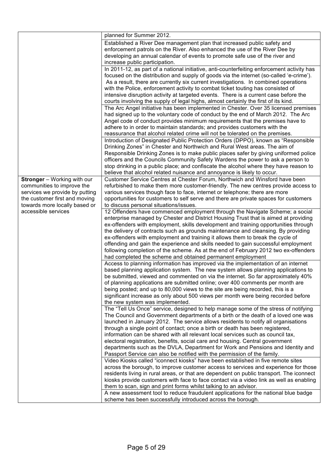|                                | planned for Summer 2012.                                                                   |
|--------------------------------|--------------------------------------------------------------------------------------------|
|                                | Established a River Dee management plan that increased public safety and                   |
|                                | enforcement patrols on the River. Also enhanced the use of the River Dee by                |
|                                | developing an annual calendar of events to promote safe use of the river and               |
|                                | increase public participation.                                                             |
|                                | In 2011-12, as part of a national initiative, anti-counterfeiting enforcement activity has |
|                                | focused on the distribution and supply of goods via the internet (so-called 'e-crime').    |
|                                | As a result, there are currently six current investigations. In combined operations        |
|                                | with the Police, enforcement activity to combat ticket touting has consisted of            |
|                                | intensive disruption activity at targeted events. There is a current case before the       |
|                                | courts involving the supply of legal highs, almost certainly the first of its kind.        |
|                                | The Arc Angel initiative has been implemented in Chester. Over 35 licensed premises        |
|                                | had signed up to the voluntary code of conduct by the end of March 2012. The Arc           |
|                                | Angel code of conduct provides minimum requirements that the premises have to              |
|                                | adhere to in order to maintain standards; and provides customers with the                  |
|                                | reassurance that alcohol related crime will not be tolerated on the premises.              |
|                                | Introduction of Designated Public Protection Orders (DPPO), known as "Responsible          |
|                                | Drinking Zones" in Chester and Northwich and Rural West areas. The aim of                  |
|                                | Responsible Drinking Zones is to make public places safer by giving uniformed police       |
|                                | officers and the Councils Community Safety Wardens the power to ask a person to            |
|                                | stop drinking in a public place; and confiscate the alcohol where they have reason to      |
|                                | believe that alcohol related nuisance and annoyance is likely to occur.                    |
| Stronger - Working with our    | Customer Service Centres at Chester Forum, Northwich and Winsford have been                |
| communities to improve the     |                                                                                            |
|                                | refurbished to make them more customer-friendly. The new centres provide access to         |
| services we provide by putting | various services though face to face, internet or telephone; there are more                |
| the customer first and moving  | opportunities for customers to self serve and there are private spaces for customers       |
| towards more locally based or  | to discuss personal situations/issues.                                                     |
| accessible services            | 12 Offenders have commenced employment through the Navigate Scheme; a social               |
|                                | enterprise managed by Chester and District Housing Trust that is aimed at providing        |
|                                | ex-offenders with employment, skills development and training opportunities through        |
|                                | the delivery of contracts such as grounds maintenance and cleansing. By providing          |
|                                | ex-offenders with employment and training it allows them to break the cycle of             |
|                                | offending and gain the experience and skills needed to gain successful employment          |
|                                | following completion of the scheme. As at the end of February 2012 two ex-offenders        |
|                                | had completed the scheme and obtained permanent employment                                 |
|                                | Access to planning information has improved via the implementation of an internet          |
|                                | based planning application system. The new system allows planning applications to          |
|                                | be submitted, viewed and commented on via the internet. So far approximately 40%           |
|                                | of planning applications are submitted online; over 400 comments per month are             |
|                                | being posted; and up to 80,000 views to the site are being recorded, this is a             |
|                                | significant increase as only about 500 views per month were being recorded before          |
|                                | the new system was implemented.                                                            |
|                                | The "Tell Us Once" service, designed to help manage some of the stress of notifying        |
|                                | The Council and Government departments of a birth or the death of a loved one was          |
|                                | launched in January 2012. The service allows residents to notify all organisations         |
|                                | through a single point of contact; once a birth or death has been registered,              |
|                                | information can be shared with all relevant local services such as council tax,            |
|                                | electoral registration, benefits, social care and housing. Central government              |
|                                | departments such as the DVLA, Department for Work and Pensions and Identity and            |
|                                | Passport Service can also be notified with the permission of the family.                   |
|                                | Video Kiosks called "iconnect kiosks" have been established in five remote sites           |
|                                | across the borough, to improve customer access to services and experience for those        |
|                                | residents living in rural areas, or that are dependent on public transport. The iconnect   |
|                                | kiosks provide customers with face to face contact via a video link as well as enabling    |
|                                | them to scan, sign and print forms whilst talking to an advisor.                           |
|                                | A new assessment tool to reduce fraudulent applications for the national blue badge        |
|                                | scheme has been successfully introduced across the borough.                                |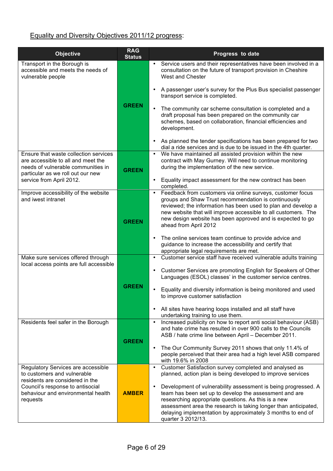### Equality and Diversity Objectives 2011/12 progress:

| <b>Objective</b>                                                                                                                                       | <b>RAG</b><br><b>Status</b> | Progress to date                                                                                                                                                                                                                                                                                                                                          |
|--------------------------------------------------------------------------------------------------------------------------------------------------------|-----------------------------|-----------------------------------------------------------------------------------------------------------------------------------------------------------------------------------------------------------------------------------------------------------------------------------------------------------------------------------------------------------|
| Transport in the Borough is<br>accessible and meets the needs of<br>vulnerable people                                                                  |                             | Service users and their representatives have been involved in a<br>$\bullet$<br>consultation on the future of transport provision in Cheshire<br><b>West and Chester</b>                                                                                                                                                                                  |
|                                                                                                                                                        |                             | A passenger user's survey for the Plus Bus specialist passenger<br>$\bullet$<br>transport service is completed.                                                                                                                                                                                                                                           |
|                                                                                                                                                        | <b>GREEN</b>                | The community car scheme consultation is completed and a<br>$\bullet$<br>draft proposal has been prepared on the community car<br>schemes, based on collaboration, financial efficiencies and<br>development.                                                                                                                                             |
|                                                                                                                                                        |                             | As planned the tender specifications has been prepared for two<br>$\bullet$<br>dial a ride services and is due to be issued in the 4th quarter.                                                                                                                                                                                                           |
| Ensure that waste collection services<br>are accessible to all and meet the<br>needs of vulnerable communities in<br>particular as we roll out our new | <b>GREEN</b>                | We have maintained all assisted provision within the new<br>$\bullet$<br>contract with May Gurney. Will need to continue monitoring<br>during the implementation of the new service.                                                                                                                                                                      |
| service from April 2012.                                                                                                                               |                             | Equality impact assessment for the new contract has been<br>$\bullet$<br>completed.                                                                                                                                                                                                                                                                       |
| Improve accessibility of the website<br>and iwest intranet                                                                                             | <b>GREEN</b>                | Feedback from customers via online surveys, customer focus<br>$\bullet$<br>groups and Shaw Trust recommendation is continuously<br>reviewed; the information has been used to plan and develop a<br>new website that will improve accessible to all customers. The<br>new design website has been approved and is expected to go<br>ahead from April 2012 |
|                                                                                                                                                        |                             | The online services team continue to provide advice and<br>$\bullet$<br>guidance to increase the accessibility and certify that<br>appropriate legal requirements are met.                                                                                                                                                                                |
| Make sure services offered through<br>local access points are full accessible                                                                          |                             | Customer service staff have received vulnerable adults training<br>$\bullet$<br>Customer Services are promoting English for Speakers of Other<br>$\bullet$<br>Languages (ESOL) classes' in the customer service centres.                                                                                                                                  |
|                                                                                                                                                        | <b>GREEN</b>                | Equality and diversity information is being monitored and used<br>$\bullet$<br>to improve customer satisfaction                                                                                                                                                                                                                                           |
|                                                                                                                                                        |                             | All sites have hearing loops installed and all staff have<br>$\bullet$<br>undertaking training to use them.                                                                                                                                                                                                                                               |
| Residents feel safer in the Borough                                                                                                                    | <b>GREEN</b>                | Increased publicity on how to report anti social behaviour (ASB)<br>$\bullet$<br>and hate crime has resulted in over 900 calls to the Councils<br>ASB / hate crime line between April - December 2011.                                                                                                                                                    |
|                                                                                                                                                        |                             | The Our Community Survey 2011 shows that only 11.4% of<br>$\bullet$<br>people perceived that their area had a high level ASB compared<br>with 19.6% in 2008                                                                                                                                                                                               |
| Regulatory Services are accessible<br>to customers and vulnerable<br>residents are considered in the                                                   |                             | Customer Satisfaction survey completed and analysed as<br>planned, action plan is being developed to improve services                                                                                                                                                                                                                                     |
| Council's response to antisocial<br>behaviour and environmental health<br>requests                                                                     | <b>AMBER</b>                | Development of vulnerability assessment is being progressed. A<br>team has been set up to develop the assessment and are<br>researching appropriate questions. As this is a new<br>assessment area the research is taking longer than anticipated,<br>delaying implementation by approximately 3 months to end of<br>quarter 3 2012/13.                   |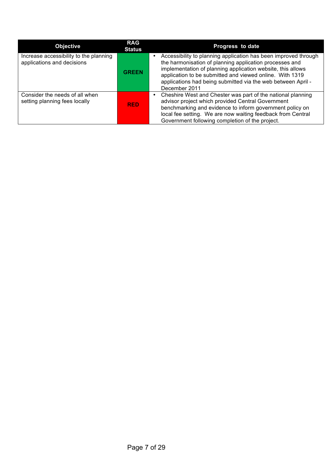| <b>Objective</b>                                                     | <b>RAG</b><br><b>Status</b> | Progress to date                                                                                                                                                                                                                                                                                                                       |
|----------------------------------------------------------------------|-----------------------------|----------------------------------------------------------------------------------------------------------------------------------------------------------------------------------------------------------------------------------------------------------------------------------------------------------------------------------------|
| Increase accessibility to the planning<br>applications and decisions | <b>GREEN</b>                | Accessibility to planning application has been improved through<br>the harmonisation of planning application processes and<br>implementation of planning application website, this allows<br>application to be submitted and viewed online. With 1319<br>applications had being submitted via the web between April -<br>December 2011 |
| Consider the needs of all when<br>setting planning fees locally      | <b>RED</b>                  | Cheshire West and Chester was part of the national planning<br>advisor project which provided Central Government<br>benchmarking and evidence to inform government policy on<br>local fee setting. We are now waiting feedback from Central<br>Government following completion of the project.                                         |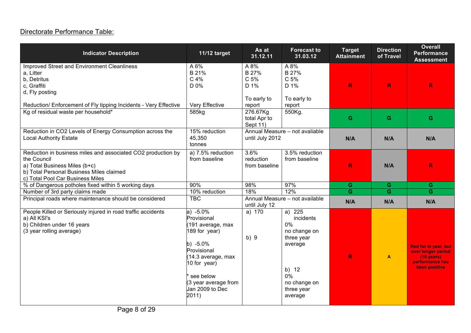### Directorate Performance Table:

| <b>Indicator Description</b>                                                                                                                                                                                               | 11/12 target                                                                                                                                                                                        | As at<br>31.12.11                                                  | <b>Forecast to</b><br>31.03.12                                                                                                | <b>Target</b><br><b>Attainment</b> | <b>Direction</b><br>of Travel | <b>Overall</b><br><b>Performance</b><br><b>Assessment</b>                                              |
|----------------------------------------------------------------------------------------------------------------------------------------------------------------------------------------------------------------------------|-----------------------------------------------------------------------------------------------------------------------------------------------------------------------------------------------------|--------------------------------------------------------------------|-------------------------------------------------------------------------------------------------------------------------------|------------------------------------|-------------------------------|--------------------------------------------------------------------------------------------------------|
| <b>Improved Street and Environment Cleanliness</b><br>a, Litter<br>b, Detritus<br>c, Graffiti<br>d, Fly posting<br>Reduction/ Enforcement of Fly tipping Incidents - Very Effective<br>Kg of residual waste per household* | A6%<br>B 21%<br>C 4%<br>D 0%<br>Very Effective<br>585kg                                                                                                                                             | A 8%<br>B 27%<br>C 5%<br>D 1%<br>To early to<br>report<br>276.67Kg | A 8%<br>B 27%<br>C 5%<br>D 1%<br>To early to<br>report<br>550Kg.                                                              | $\mathbb{R}$                       | R                             | R                                                                                                      |
| Reduction in CO2 Levels of Energy Consumption across the<br><b>Local Authority Estate</b>                                                                                                                                  | 15% reduction<br>45,350<br>tonnes                                                                                                                                                                   | total Apr to<br>Sept 11)<br>until July 2012                        | Annual Measure - not avaliable                                                                                                | G<br>N/A                           | G<br>N/A                      | G<br>N/A                                                                                               |
| Reduction in business miles and associated CO2 production by<br>the Council<br>a) Total Business Miles (b+c)<br>b) Total Personal Business Miles claimed<br>c) Total Pool Car Business Miles                               | a) 7.5% reduction<br>from baseline                                                                                                                                                                  | 3.6%<br>reduction<br>from baseline                                 | 3.5% reduction<br>from baseline                                                                                               | $\mathbb{R}$                       | N/A                           | $\mathbb{R}$                                                                                           |
| % of Dangerous potholes fixed within 5 working days                                                                                                                                                                        | 90%                                                                                                                                                                                                 | 98%                                                                | 97%                                                                                                                           | $\mathbf{G}$                       | G                             | ${\bf G}$                                                                                              |
| Number of 3rd party claims made                                                                                                                                                                                            | 10% reduction                                                                                                                                                                                       | 18%                                                                | 12%                                                                                                                           | $\overline{G}$                     | $\overline{G}$                | $\overline{\mathbf{G}}$                                                                                |
| Principal roads where maintenance should be considered                                                                                                                                                                     | <b>TBC</b>                                                                                                                                                                                          | until July 12                                                      | Annual Measure - not available                                                                                                | N/A                                | N/A                           | N/A                                                                                                    |
| People Killed or Seriously injured in road traffic accidents<br>a) All KSI's<br>b) Children under 16 years<br>(3 year rolling average)                                                                                     | $a) -5.0%$<br>Provisional<br>191 average, max<br>189 for year)<br>b) $-5.0\%$<br>Provisional<br>(14.3 average, max<br>10 for year)<br>see below<br>(3 year average from<br>Jan 2009 to Dec<br>2011) | a) 170<br>b)9                                                      | a) 225<br>incidents<br>0%<br>no change on<br>three year<br>average<br>b) 12<br>$0\%$<br>no change on<br>three year<br>average | $\mathbb{R}$                       | $\blacktriangle$              | Red for in year, but<br>over longer period<br>$(10 \text{ years})$<br>performance has<br>been positive |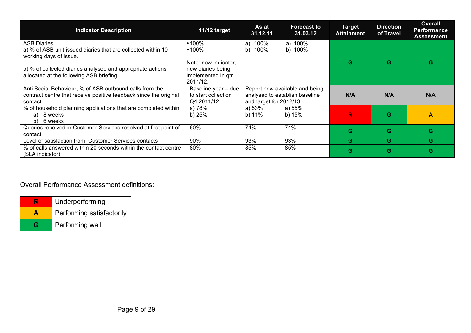| <b>Indicator Description</b>                                                                                                            | 11/12 target                                                                                                                                           | As at<br>31.12.11        | <b>Forecast to</b><br>31.03.12 | <b>Target</b><br><b>Attainment</b> | <b>Direction</b><br>of Travel | <b>Overall</b><br><b>Performance</b><br><b>Assessment</b> |
|-----------------------------------------------------------------------------------------------------------------------------------------|--------------------------------------------------------------------------------------------------------------------------------------------------------|--------------------------|--------------------------------|------------------------------------|-------------------------------|-----------------------------------------------------------|
| <b>ASB Diaries</b><br>a) % of ASB unit issued diaries that are collected within 10<br>working days of issue.                            | $•100\%$<br>$\cdot$ 100%<br>Note: new indicator,                                                                                                       | 100%<br>a)<br>100%<br>b) | a) $100%$<br>b) 100%           | G                                  | G                             | G                                                         |
| b) % of collected diaries analysed and appropriate actions<br>allocated at the following ASB briefing.                                  | new diaries being<br>implemented in gtr 1<br>2011/12.                                                                                                  |                          |                                |                                    |                               |                                                           |
| Anti Social Behaviour, % of ASB outbound calls from the<br>contract centre that receive positive feedback since the original<br>contact | Baseline year - due<br>Report now available and being<br>analysed to establish baseline<br>to start collection<br>and target for 2012/13<br>Q4 2011/12 |                          | N/A                            | N/A                                | N/A                           |                                                           |
| % of household planning applications that are completed within<br>a) 8 weeks<br>b) 6 weeks                                              | a) 78%<br>b) $25%$                                                                                                                                     | a) 53%<br>b) 11%         | a) 55%<br>b) 15%               | R.                                 | G                             | A                                                         |
| Queries received in Customer Services resolved at first point of<br>contact                                                             | 60%                                                                                                                                                    | 74%                      | 74%                            | G                                  | G                             | G                                                         |
| Level of satisfaction from Customer Services contacts                                                                                   | 90%                                                                                                                                                    | 93%                      | 93%                            | G                                  | G                             | G.                                                        |
| % of calls answered within 20 seconds within the contact centre<br>(SLA indicator)                                                      | 80%                                                                                                                                                    | 85%                      | 85%                            | G                                  | G                             | G                                                         |

#### Overall Performance Assessment definitions:

|   | Underperforming           |
|---|---------------------------|
|   | Performing satisfactorily |
| G | Performing well           |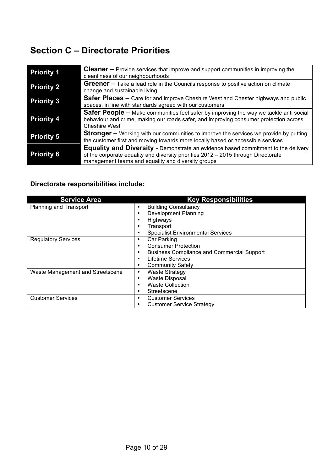# **Section C – Directorate Priorities**

| <b>Priority 1</b> | <b>Cleaner</b> – Provide services that improve and support communities in improving the<br>cleanliness of our neighbourhoods                                                                                                         |
|-------------------|--------------------------------------------------------------------------------------------------------------------------------------------------------------------------------------------------------------------------------------|
| <b>Priority 2</b> | <b>Greener</b> – Take a lead role in the Councils response to positive action on climate<br>change and sustainable living                                                                                                            |
| <b>Priority 3</b> | <b>Safer Places</b> – Care for and improve Cheshire West and Chester highways and public<br>spaces, in line with standards agreed with our customers                                                                                 |
| <b>Priority 4</b> | <b>Safer People</b> – Make communities feel safer by improving the way we tackle anti social<br>behaviour and crime, making our roads safer, and improving consumer protection across<br><b>Cheshire West</b>                        |
| <b>Priority 5</b> | <b>Stronger</b> – Working with our communities to improve the services we provide by putting<br>the customer first and moving towards more locally based or accessible services                                                      |
| <b>Priority 6</b> | <b>Equality and Diversity</b> - Demonstrate an evidence based commitment to the delivery<br>of the corporate equality and diversity priorities 2012 - 2015 through Directorate<br>management teams and equality and diversity groups |

#### **Directorate responsibilities include:**

| <b>Service Area</b>              | <b>Key Responsibilities</b>                            |
|----------------------------------|--------------------------------------------------------|
| Planning and Transport           | <b>Building Consultancy</b><br>٠                       |
|                                  | <b>Development Planning</b><br>٠                       |
|                                  | Highways<br>٠                                          |
|                                  | Transport                                              |
|                                  | <b>Specialist Environmental Services</b>               |
| <b>Regulatory Services</b>       | Car Parking<br>٠                                       |
|                                  | <b>Consumer Protection</b><br>٠                        |
|                                  | <b>Business Compliance and Commercial Support</b><br>٠ |
|                                  | <b>Lifetime Services</b><br>٠                          |
|                                  | <b>Community Safety</b>                                |
| Waste Management and Streetscene | <b>Waste Strategy</b><br>٠                             |
|                                  | <b>Waste Disposal</b><br>٠                             |
|                                  | <b>Waste Collection</b><br>٠                           |
|                                  | Streetscene                                            |
| <b>Customer Services</b>         | <b>Customer Services</b><br>٠                          |
|                                  | <b>Customer Service Strategy</b>                       |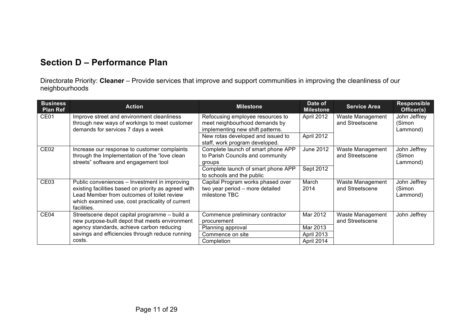### **Section D – Performance Plan**

Directorate Priority: **Cleaner** – Provide services that improve and support communities in improving the cleanliness of our neighbourhoods

| <b>Business</b><br><b>Plan Ref</b> | <b>Action</b>                                                                                                                                                                                                          | <b>Milestone</b>                                                                                      | Date of<br><b>Milestone</b> | <b>Service Area</b>                 | <b>Responsible</b><br>Officer(s)   |
|------------------------------------|------------------------------------------------------------------------------------------------------------------------------------------------------------------------------------------------------------------------|-------------------------------------------------------------------------------------------------------|-----------------------------|-------------------------------------|------------------------------------|
| CE <sub>01</sub>                   | Improve street and environment cleanliness<br>through new ways of workings to meet customer<br>demands for services 7 days a week                                                                                      | Refocusing employee resources to<br>meet neighbourhood demands by<br>implementing new shift patterns. | April 2012                  | Waste Management<br>and Streetscene | John Jeffrey<br>(Simon<br>Lammond) |
|                                    |                                                                                                                                                                                                                        | New rotas developed and issued to<br>staff, work program developed.                                   | April 2012                  |                                     |                                    |
| CE <sub>02</sub>                   | Increase our response to customer complaints<br>through the Implementation of the "love clean<br>streets" software and engagement tool                                                                                 | Complete launch of smart phone APP<br>to Parish Councils and community<br>groups                      | June 2012                   | Waste Management<br>and Streetscene | John Jeffrey<br>(Simon<br>Lammond) |
|                                    |                                                                                                                                                                                                                        | Complete launch of smart phone APP<br>to schools and the public                                       | Sept 2012                   |                                     |                                    |
| CE <sub>03</sub>                   | Public conveniences – Investment in improving<br>existing facilities based on priority as agreed with<br>Lead Member from outcomes of toilet review<br>which examined use, cost practicality of current<br>facilities. | Capital Program works phased over<br>two year period - more detailed<br>milestone TBC                 | March<br>2014               | Waste Management<br>and Streetscene | John Jeffrey<br>(Simon<br>Lammond) |
| CE <sub>04</sub>                   | Streetscene depot capital programme - build a<br>new purpose-built depot that meets environment                                                                                                                        | Commence preliminary contractor<br>procurement                                                        | Mar 2012                    | Waste Management<br>and Streetscene | John Jeffrey                       |
|                                    | agency standards, achieve carbon reducing                                                                                                                                                                              | Planning approval                                                                                     | Mar 2013                    |                                     |                                    |
|                                    | savings and efficiencies through reduce running                                                                                                                                                                        | Commence on site                                                                                      | April 2013                  |                                     |                                    |
|                                    | costs.                                                                                                                                                                                                                 | Completion                                                                                            | April 2014                  |                                     |                                    |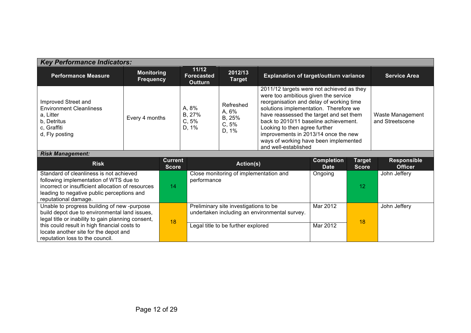| <b>Key Performance Indicators:</b>                                                                                                                                                                                                                                                                    |                                                                                                                                                                    |                                |             |                                                                                                                              |                                                                                                                                                                                                                                                                                                                                                                                                       |                                  |                        |                                      |
|-------------------------------------------------------------------------------------------------------------------------------------------------------------------------------------------------------------------------------------------------------------------------------------------------------|--------------------------------------------------------------------------------------------------------------------------------------------------------------------|--------------------------------|-------------|------------------------------------------------------------------------------------------------------------------------------|-------------------------------------------------------------------------------------------------------------------------------------------------------------------------------------------------------------------------------------------------------------------------------------------------------------------------------------------------------------------------------------------------------|----------------------------------|------------------------|--------------------------------------|
| <b>Performance Measure</b>                                                                                                                                                                                                                                                                            | 11/12<br>2012/13<br><b>Monitoring</b><br><b>Explanation of target/outturn variance</b><br><b>Forecasted</b><br><b>Frequency</b><br><b>Target</b><br><b>Outturn</b> |                                |             | <b>Service Area</b>                                                                                                          |                                                                                                                                                                                                                                                                                                                                                                                                       |                                  |                        |                                      |
| Improved Street and<br><b>Environment Cleanliness</b><br>a, Litter<br>b, Detritus<br>c, Graffiti<br>d, Fly posting                                                                                                                                                                                    | A, 8%<br>B, 27%<br>Every 4 months<br>C, 5%<br>D, 1%                                                                                                                |                                |             | Refreshed<br>A, 6%<br>B, 25%<br>C, 5%<br>D, 1%                                                                               | 2011/12 targets were not achieved as they<br>were too ambitious given the service<br>reorganisation and delay of working time<br>solutions implementation. Therefore we<br>have reassessed the target and set them<br>back to 2010/11 baseline achievement.<br>Looking to then agree further<br>improvements in 2013/14 once the new<br>ways of working have been implemented<br>and well-established |                                  |                        | Waste Management<br>and Streetscene  |
| <b>Risk Management:</b>                                                                                                                                                                                                                                                                               |                                                                                                                                                                    |                                |             |                                                                                                                              |                                                                                                                                                                                                                                                                                                                                                                                                       |                                  |                        |                                      |
| <b>Risk</b>                                                                                                                                                                                                                                                                                           |                                                                                                                                                                    | <b>Current</b><br><b>Score</b> |             | Action(s)                                                                                                                    |                                                                                                                                                                                                                                                                                                                                                                                                       | <b>Completion</b><br><b>Date</b> | Target<br><b>Score</b> | <b>Responsible</b><br><b>Officer</b> |
| Standard of cleanliness is not achieved<br>following implementation of WTS due to<br>incorrect or insufficient allocation of resources<br>leading to negative public perceptions and                                                                                                                  |                                                                                                                                                                    | 14                             | performance | Close monitoring of implementation and                                                                                       |                                                                                                                                                                                                                                                                                                                                                                                                       | Ongoing                          | 12                     | John Jeffery                         |
| reputational damage.<br>Unable to progress building of new-purpose<br>build depot due to environmental land issues,<br>legal title or inability to gain planning consent,<br>this could result in high financial costs to<br>locate another site for the depot and<br>reputation loss to the council. |                                                                                                                                                                    | 18                             |             | Preliminary site investigations to be<br>undertaken including an environmental survey.<br>Legal title to be further explored |                                                                                                                                                                                                                                                                                                                                                                                                       | Mar 2012<br>Mar 2012             | 18                     | John Jeffery                         |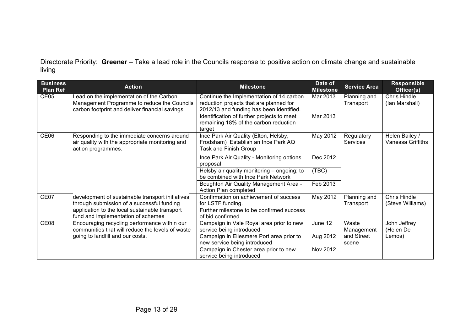Directorate Priority: **Greener** – Take a lead role in the Councils response to positive action on climate change and sustainable living

| <b>Business</b><br><b>Plan Ref</b>                                                   | <b>Action</b>                                                                                                                             | <b>Milestone</b>                                                                                                                | Date of<br><b>Milestone</b> | <b>Service Area</b>       | <b>Responsible</b><br>Officer(s)    |
|--------------------------------------------------------------------------------------|-------------------------------------------------------------------------------------------------------------------------------------------|---------------------------------------------------------------------------------------------------------------------------------|-----------------------------|---------------------------|-------------------------------------|
| CE <sub>05</sub>                                                                     | Lead on the implementation of the Carbon<br>Management Programme to reduce the Councils<br>carbon footprint and deliver financial savings | Continue the Implementation of 14 carbon<br>reduction projects that are planned for<br>2012/13 and funding has been identified. | Mar 2013                    | Planning and<br>Transport | Chris Hindle<br>(lan Marshall)      |
|                                                                                      |                                                                                                                                           | Identification of further projects to meet<br>remaining 18% of the carbon reduction<br>target                                   | Mar 2013                    |                           |                                     |
| CE06                                                                                 | Responding to the immediate concerns around<br>air quality with the appropriate monitoring and<br>action programmes.                      | Ince Park Air Quality (Elton, Helsby,<br>Frodsham) Establish an Ince Park AQ<br><b>Task and Finish Group</b>                    | May 2012                    | Regulatory<br>Services    | Helen Bailey /<br>Vanessa Griffiths |
|                                                                                      |                                                                                                                                           | Ince Park Air Quality - Monitoring options<br>proposal                                                                          | Dec 2012                    |                           |                                     |
|                                                                                      |                                                                                                                                           | Helsby air quality monitoring - ongoing; to<br>be combined with Ince Park Network                                               | (TBC)                       |                           |                                     |
|                                                                                      |                                                                                                                                           | Boughton Air Quality Management Area -<br>Action Plan completed                                                                 | Feb 2013                    |                           |                                     |
| CE07                                                                                 | development of sustainable transport initiatives<br>through submission of a successful funding                                            | Confirmation on achievement of success<br>for LSTF funding.                                                                     | May 2012                    | Planning and<br>Transport | Chris Hindle<br>(Steve Williams)    |
| application to the local sustainable transport<br>fund and implementation of schemes |                                                                                                                                           | Further milestone to be confirmed success<br>of bid confirmed                                                                   |                             |                           |                                     |
| CE <sub>08</sub>                                                                     | Encouraging recycling performance within our<br>communities that will reduce the levels of waste                                          | Campaign in Vale Royal area prior to new<br>service being introduced                                                            | June 12                     | Waste<br>Management       | John Jeffrey<br>(Helen De           |
|                                                                                      | going to landfill and our costs.                                                                                                          | Campaign in Ellesmere Port area prior to<br>new service being introduced                                                        | Aug 2012                    | and Street<br>scene       | Lemos)                              |
|                                                                                      |                                                                                                                                           | Campaign in Chester area prior to new<br>service being introduced                                                               | Nov 2012                    |                           |                                     |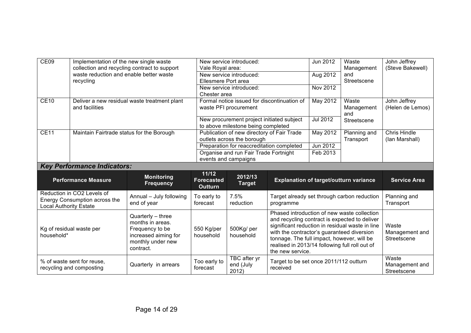| CE09                          | Implementation of the new single waste                                                  | collection and recycling contract to support | New service introduced:<br>Vale Royal area:  |                                             |                                                                    | Jun 2012        | Waste<br>Management                             | John Jeffrey<br>(Steve Bakewell) |
|-------------------------------|-----------------------------------------------------------------------------------------|----------------------------------------------|----------------------------------------------|---------------------------------------------|--------------------------------------------------------------------|-----------------|-------------------------------------------------|----------------------------------|
|                               | waste reduction and enable better waste                                                 |                                              |                                              | New service introduced:                     |                                                                    | Aug 2012        | and                                             |                                  |
|                               | recycling                                                                               |                                              | Ellesmere Port area                          |                                             |                                                                    |                 | Streetscene                                     |                                  |
|                               |                                                                                         |                                              |                                              | New service introduced:                     |                                                                    | Nov 2012        |                                                 |                                  |
|                               | Chester area                                                                            |                                              |                                              |                                             |                                                                    |                 |                                                 |                                  |
| <b>CE10</b>                   | Deliver a new residual waste treatment plant                                            |                                              |                                              | Formal notice issued for discontinuation of |                                                                    | May 2012        | Waste                                           | John Jeffrey                     |
|                               | and facilities                                                                          |                                              |                                              | waste PFI procurement                       |                                                                    |                 | Management<br>and                               | (Helen de Lemos)                 |
|                               |                                                                                         |                                              |                                              | New procurement project initiated subject   |                                                                    | <b>Jul 2012</b> | Streetscene                                     |                                  |
|                               |                                                                                         |                                              |                                              | to above milestone being completed          |                                                                    |                 |                                                 |                                  |
| <b>CE11</b>                   | Publication of new directory of Fair Trade<br>Maintain Fairtrade status for the Borough |                                              |                                              | May 2012                                    | Planning and                                                       | Chris Hindle    |                                                 |                                  |
|                               |                                                                                         |                                              | outlets across the borough                   |                                             |                                                                    |                 | Transport                                       | (lan Marshall)                   |
|                               |                                                                                         |                                              |                                              | Preparation for reaccreditation completed   |                                                                    | Jun 2012        |                                                 |                                  |
|                               |                                                                                         |                                              |                                              | Organise and run Fair Trade Fortnight       |                                                                    | Feb 2013        |                                                 |                                  |
|                               |                                                                                         |                                              |                                              | events and campaigns                        |                                                                    |                 |                                                 |                                  |
|                               | <b>Key Performance Indicators:</b>                                                      |                                              |                                              |                                             |                                                                    |                 |                                                 |                                  |
|                               | <b>Performance Measure</b>                                                              | <b>Monitoring</b><br><b>Frequency</b>        | 11/12<br><b>Forecasted</b><br><b>Outturn</b> | 2012/13<br><b>Target</b>                    | <b>Explanation of target/outturn variance</b>                      |                 |                                                 | <b>Service Area</b>              |
|                               | Reduction in CO2 Levels of                                                              | Annual - July following                      | To early to                                  | 7.5%                                        |                                                                    |                 | Target already set through carbon reduction     | Planning and                     |
|                               | Energy Consumption across the                                                           | end of year                                  | forecast                                     | reduction                                   | programme                                                          |                 |                                                 | Transport                        |
| <b>Local Authority Estate</b> |                                                                                         |                                              |                                              |                                             |                                                                    |                 |                                                 |                                  |
|                               |                                                                                         |                                              |                                              |                                             |                                                                    |                 |                                                 |                                  |
|                               |                                                                                         | Quarterly - three                            |                                              |                                             |                                                                    |                 | Phased introduction of new waste collection     |                                  |
|                               |                                                                                         | months in areas.                             |                                              |                                             |                                                                    |                 | and recycling contract is expected to deliver   |                                  |
|                               | Kg of residual waste per                                                                | Frequency to be                              | 550 Kg/per                                   | 500Kg/per                                   |                                                                    |                 | significant reduction in residual waste in line | Waste                            |
| household*                    |                                                                                         | increased aiming for                         | household                                    | household                                   | with the contractor's guaranteed diversion                         |                 |                                                 | Management and                   |
|                               |                                                                                         | monthly under new                            |                                              |                                             | tonnage. The full impact, however, will be                         |                 |                                                 | Streetscene                      |
|                               |                                                                                         | contract.                                    |                                              |                                             | realised in 2013/14 following full roll out of<br>the new service. |                 |                                                 |                                  |
|                               |                                                                                         |                                              |                                              | <b>TBC</b> after yr                         |                                                                    |                 |                                                 | Waste                            |
|                               | % of waste sent for reuse.<br>recycling and composting                                  | Quarterly in arrears                         | Too early to<br>forecast                     | end (July<br>2012)                          | Target to be set once 2011/112 outturn<br>received                 |                 |                                                 | Management and<br>Streetscene    |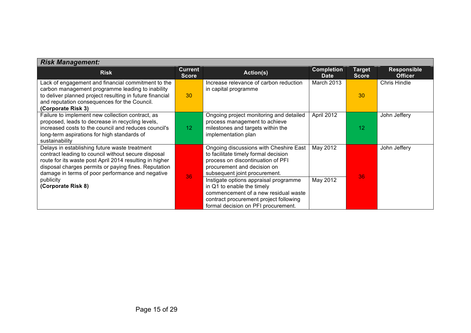| <b>Risk Management:</b>                                                                                                                                                                                                                                                                                        |                                |                                                                                                                                                                                                                                                                                                                                                                                     |                                  |                        |                                      |  |  |
|----------------------------------------------------------------------------------------------------------------------------------------------------------------------------------------------------------------------------------------------------------------------------------------------------------------|--------------------------------|-------------------------------------------------------------------------------------------------------------------------------------------------------------------------------------------------------------------------------------------------------------------------------------------------------------------------------------------------------------------------------------|----------------------------------|------------------------|--------------------------------------|--|--|
| <b>Risk</b>                                                                                                                                                                                                                                                                                                    | <b>Current</b><br><b>Score</b> | Action(s)                                                                                                                                                                                                                                                                                                                                                                           | <b>Completion</b><br><b>Date</b> | Target<br><b>Score</b> | <b>Responsible</b><br><b>Officer</b> |  |  |
| Lack of engagement and financial commitment to the<br>carbon management programme leading to inability<br>to deliver planned project resulting in future financial<br>and reputation consequences for the Council.<br>(Corporate Risk 3)                                                                       | 30                             | Increase relevance of carbon reduction<br>in capital programme                                                                                                                                                                                                                                                                                                                      | March 2013                       | 30                     | <b>Chris Hindle</b>                  |  |  |
| Failure to implement new collection contract, as<br>proposed, leads to decrease in recycling levels,<br>increased costs to the council and reduces council's<br>long-term aspirations for high standards of<br>sustainability                                                                                  | 12 <sub>1</sub>                | Ongoing project monitoring and detailed<br>process management to achieve<br>milestones and targets within the<br>implementation plan                                                                                                                                                                                                                                                | April 2012                       | 12 <sup>2</sup>        | John Jeffery                         |  |  |
| Delays in establishing future waste treatment<br>contract leading to council without secure disposal<br>route for its waste post April 2014 resulting in higher<br>disposal charges permits or paying fines. Reputation<br>damage in terms of poor performance and negative<br>publicity<br>(Corporate Risk 8) | 36                             | Ongoing discussions with Cheshire East<br>to facilitate timely formal decision<br>process on discontinuation of PFI<br>procurement and decision on<br>subsequent joint procurement.<br>Instigate options appraisal programme<br>in Q1 to enable the timely<br>commencement of a new residual waste<br>contract procurement project following<br>formal decision on PFI procurement. | May 2012<br>May 2012             | 36                     | John Jeffery                         |  |  |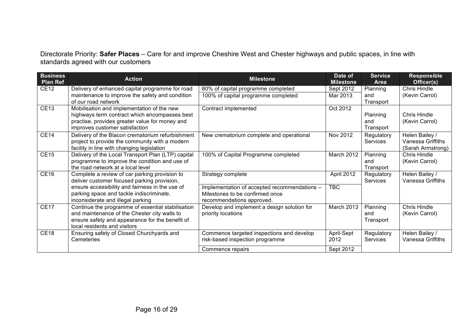Directorate Priority: **Safer Places** – Care for and improve Cheshire West and Chester highways and public spaces, in line with standards agreed with our customers

| <b>Business</b><br><b>Plan Ref</b> | <b>Action</b>                                                                                | <b>Milestone</b>                             | Date of<br><b>Milestone</b> | <b>Service</b><br>Area        | <b>Responsible</b><br>Officer(s)    |
|------------------------------------|----------------------------------------------------------------------------------------------|----------------------------------------------|-----------------------------|-------------------------------|-------------------------------------|
| <b>CE12</b>                        | Delivery of enhanced capital programme for road                                              | 80% of capital programme completed           | Sept 2012                   | Planning                      | <b>Chris Hindle</b>                 |
|                                    | maintenance to improve the safety and condition                                              | 100% of capital programme completed          | Mar 2013                    | and                           | (Kevin Carrol)                      |
|                                    | of our road network                                                                          |                                              |                             | Transport                     |                                     |
| <b>CE13</b>                        | Mobilisation and implementation of the new                                                   | Contract implemented                         | Oct 2012                    |                               |                                     |
|                                    | highways term contract which encompasses best                                                |                                              |                             | Planning                      | Chris Hindle                        |
|                                    | practise, provides greater value for money and<br>improves customer satisfaction             |                                              |                             | and<br>Transport              | (Kevin Carrol)                      |
| <b>CE14</b>                        | Delivery of the Blacon crematorium refurbishment                                             | New crematorium complete and operational     | Nov 2012                    | Regulatory                    | Helen Bailey /                      |
|                                    | project to provide the community with a modern                                               |                                              |                             | <b>Services</b>               | Vanessa Griffiths                   |
|                                    | facility in line with changing legislation                                                   |                                              |                             |                               | (Sarah Armstrong)                   |
| <b>CE15</b>                        | Delivery of the Local Transport Plan (LTP) capital                                           | 100% of Capital Programme completed          | March 2012                  | Planning                      | Chris Hindle                        |
|                                    | programme to improve the condition and use of                                                |                                              |                             | and                           | (Kevin Carrol)                      |
|                                    | the road network at a local level                                                            |                                              |                             | Transport                     |                                     |
| <b>CE16</b>                        | Complete a review of car parking provision to<br>deliver customer focused parking provision, | Strategy complete                            | April 2012                  | Regulatory<br><b>Services</b> | Helen Bailey /<br>Vanessa Griffiths |
|                                    | ensure accessibility and fairness in the use of                                              | Implementation of accepted recommendations - | <b>TBC</b>                  |                               |                                     |
|                                    | parking space and tackle indiscriminate,                                                     | Milestones to be confirmed once              |                             |                               |                                     |
|                                    | inconsiderate and illegal parking                                                            | recommendations approved.                    |                             |                               |                                     |
| <b>CE17</b>                        | Continue the programme of essential stabilisation                                            | Develop and implement a design solution for  | March 2013                  | Planning                      | Chris Hindle                        |
|                                    | and maintenance of the Chester city walls to                                                 | priority locations                           |                             | and                           | (Kevin Carrol)                      |
|                                    | ensure safety and appearance for the benefit of                                              |                                              |                             | Transport                     |                                     |
|                                    | local residents and visitors                                                                 |                                              |                             |                               |                                     |
| <b>CE18</b>                        | Ensuring safety of Closed Churchyards and                                                    | Commence targeted inspections and develop    | April-Sept                  | Regulatory                    | Helen Bailey /                      |
|                                    | Cemeteries                                                                                   | risk-based inspection programme              | 2012                        | <b>Services</b>               | Vanessa Griffiths                   |
|                                    |                                                                                              | Commence repairs                             | Sept 2012                   |                               |                                     |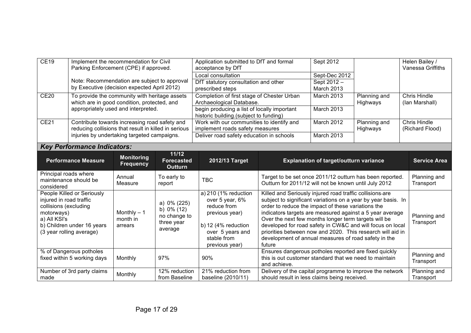| CE19                                                                                                                 | Implement the recommendation for Civil<br>Parking Enforcement (CPE) if approved.                                                                                                                                                                                                                                                                                                                                                                                                                                                                                                                                                                                                                                                                                                                                                                                                                                        |                   |                                | Application submitted to DfT and formal<br>acceptance by DfT                          |                                                                                                                   | Sept 2012                    |                          | Helen Bailey /<br><b>Vanessa Griffiths</b> |
|----------------------------------------------------------------------------------------------------------------------|-------------------------------------------------------------------------------------------------------------------------------------------------------------------------------------------------------------------------------------------------------------------------------------------------------------------------------------------------------------------------------------------------------------------------------------------------------------------------------------------------------------------------------------------------------------------------------------------------------------------------------------------------------------------------------------------------------------------------------------------------------------------------------------------------------------------------------------------------------------------------------------------------------------------------|-------------------|--------------------------------|---------------------------------------------------------------------------------------|-------------------------------------------------------------------------------------------------------------------|------------------------------|--------------------------|--------------------------------------------|
|                                                                                                                      | Note: Recommendation are subject to approval                                                                                                                                                                                                                                                                                                                                                                                                                                                                                                                                                                                                                                                                                                                                                                                                                                                                            |                   |                                | Local consultation<br>DfT statutory consultation and other                            |                                                                                                                   | Sept-Dec 2012<br>Sept 2012 - |                          |                                            |
|                                                                                                                      | by Executive (decision expected April 2012)                                                                                                                                                                                                                                                                                                                                                                                                                                                                                                                                                                                                                                                                                                                                                                                                                                                                             |                   |                                | prescribed steps                                                                      |                                                                                                                   | March 2013                   |                          |                                            |
| <b>CE20</b><br>To provide the community with heritage assets<br>which are in good condition, protected, and          |                                                                                                                                                                                                                                                                                                                                                                                                                                                                                                                                                                                                                                                                                                                                                                                                                                                                                                                         |                   |                                | Completion of first stage of Chester Urban<br>Archaeological Database.                |                                                                                                                   | <b>March 2013</b>            | Planning and<br>Highways | <b>Chris Hindle</b><br>(lan Marshall)      |
| appropriately used and interpreted.                                                                                  |                                                                                                                                                                                                                                                                                                                                                                                                                                                                                                                                                                                                                                                                                                                                                                                                                                                                                                                         |                   |                                | begin producing a list of locally important<br>historic building.(subject to funding) |                                                                                                                   | <b>March 2013</b>            |                          |                                            |
| <b>CE21</b><br>Contribute towards increasing road safety and<br>reducing collisions that result in killed in serious |                                                                                                                                                                                                                                                                                                                                                                                                                                                                                                                                                                                                                                                                                                                                                                                                                                                                                                                         |                   |                                | Work with our communities to identify and                                             |                                                                                                                   | March 2012                   | Planning and             | Chris Hindle                               |
|                                                                                                                      | injuries by undertaking targeted campaigns.                                                                                                                                                                                                                                                                                                                                                                                                                                                                                                                                                                                                                                                                                                                                                                                                                                                                             |                   |                                | implement roads safety measures<br>Deliver road safety education in schools           |                                                                                                                   | <b>March 2013</b>            | Highways                 | (Richard Flood)                            |
|                                                                                                                      |                                                                                                                                                                                                                                                                                                                                                                                                                                                                                                                                                                                                                                                                                                                                                                                                                                                                                                                         |                   |                                |                                                                                       |                                                                                                                   |                              |                          |                                            |
|                                                                                                                      | <b>Key Performance Indicators:</b>                                                                                                                                                                                                                                                                                                                                                                                                                                                                                                                                                                                                                                                                                                                                                                                                                                                                                      |                   |                                |                                                                                       |                                                                                                                   |                              |                          |                                            |
|                                                                                                                      | 11/12<br><b>Monitoring</b><br><b>Performance Measure</b><br>2012/13 Target<br><b>Forecasted</b><br><b>Explanation of target/outturn variance</b><br><b>Frequency</b><br><b>Outturn</b>                                                                                                                                                                                                                                                                                                                                                                                                                                                                                                                                                                                                                                                                                                                                  |                   |                                |                                                                                       | <b>Service Area</b>                                                                                               |                              |                          |                                            |
| considered                                                                                                           | Principal roads where<br>maintenance should be                                                                                                                                                                                                                                                                                                                                                                                                                                                                                                                                                                                                                                                                                                                                                                                                                                                                          | Annual<br>Measure | To early to<br>report          | <b>TBC</b>                                                                            | Target to be set once 2011/12 outturn has been reported.<br>Outturn for 2011/12 will not be known until July 2012 | Planning and<br>Transport    |                          |                                            |
| motorways)<br>a) All KSI's                                                                                           | People Killed or Seriously<br>a) 210 (1% reduction<br>Killed and Seriously injured road traffic collisions-are<br>over 5 year, 6%<br>subject to significant variations on a year by year basis. In<br>injured in road traffic<br>a) $0\%$ (225)<br>order to reduce the impact of these variations the<br>collisions (excluding<br>reduce from<br>b) $0\%$ (12)<br>Monthly $-1$<br>indicators targets are measured against a 5 year average<br>previous year)<br>no change to<br>month in<br>Over the next few months longer term targets will be<br>three year<br>developed for road safety in CW&C and will focus on local<br>b) Children under 16 years<br>b) 12 (4% reduction<br>arrears<br>average<br>over 5 years and<br>priorities between now and 2020. This research will aid in<br>(3 year rolling average)<br>stable from<br>development of annual measures of road safety in the<br>future<br>previous year) |                   |                                | Planning and<br>Transport                                                             |                                                                                                                   |                              |                          |                                            |
|                                                                                                                      | % of Dangerous potholes<br>Ensures dangerous potholes reported are fixed quickly<br>97%<br>this is out customer standard that we need to maintain<br>fixed within 5 working days<br>Monthly<br>90%<br>and achieve.                                                                                                                                                                                                                                                                                                                                                                                                                                                                                                                                                                                                                                                                                                      |                   |                                | Planning and<br>Transport                                                             |                                                                                                                   |                              |                          |                                            |
| made                                                                                                                 | Number of 3rd party claims                                                                                                                                                                                                                                                                                                                                                                                                                                                                                                                                                                                                                                                                                                                                                                                                                                                                                              | Monthly           | 12% reduction<br>from Baseline | 21% reduction from<br>baseline (2010/11)                                              | Delivery of the capital programme to improve the network<br>should result in less claims being received.          |                              |                          | Planning and<br>Transport                  |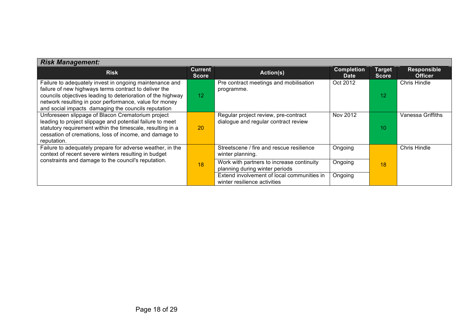| <b>Risk Management:</b>                                                                                                                                                                                                                                                                          |                                |                                                                              |          |                               |                                      |  |  |  |
|--------------------------------------------------------------------------------------------------------------------------------------------------------------------------------------------------------------------------------------------------------------------------------------------------|--------------------------------|------------------------------------------------------------------------------|----------|-------------------------------|--------------------------------------|--|--|--|
| <b>Risk</b>                                                                                                                                                                                                                                                                                      | <b>Current</b><br><b>Score</b> | <b>Completion</b><br>Action(s)                                               |          | <b>Target</b><br><b>Score</b> | <b>Responsible</b><br><b>Officer</b> |  |  |  |
| Failure to adequately invest in ongoing maintenance and<br>failure of new highways terms contract to deliver the<br>councils objectives leading to deterioration of the highway<br>network resulting in poor performance, value for money<br>and social impacts damaging the councils reputation | 12 <sup>°</sup>                | Pre contract meetings and mobilisation<br>programme.                         | Oct 2012 | 12                            | <b>Chris Hindle</b>                  |  |  |  |
| Unforeseen slippage of Blacon Crematorium project<br>leading to project slippage and potential failure to meet<br>statutory requirement within the timescale, resulting in a<br>cessation of cremations, loss of income, and damage to<br>reputation.                                            | 20                             | Regular project review, pre-contract<br>dialogue and regular contract review | Nov 2012 | 10                            | Vanessa Griffiths                    |  |  |  |
| Failure to adequately prepare for adverse weather, in the<br>context of recent severe winters resulting in budget                                                                                                                                                                                |                                | Streetscene / fire and rescue resilience<br>winter planning.                 | Ongoing  |                               | <b>Chris Hindle</b>                  |  |  |  |
| constraints and damage to the council's reputation.                                                                                                                                                                                                                                              | 18                             | Work with partners to increase continuity<br>planning during winter periods  | Ongoing  | 18                            |                                      |  |  |  |
|                                                                                                                                                                                                                                                                                                  |                                | Extend involvement of local communities in<br>winter resilience activities   | Ongoing  |                               |                                      |  |  |  |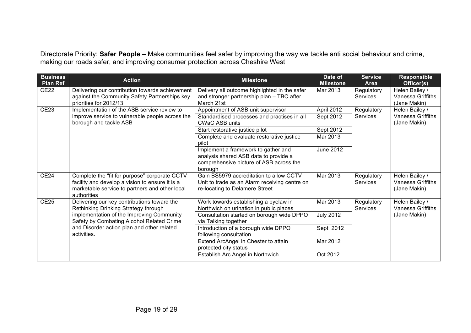Directorate Priority: **Safer People** – Make communities feel safer by improving the way we tackle anti social behaviour and crime, making our roads safer, and improving consumer protection across Cheshire West

| <b>Business</b><br><b>Plan Ref</b> | <b>Action</b>                                                                                                                                                                                                               | <b>Milestone</b>                                                                                                                                                                             | Date of<br><b>Milestone</b>               | <b>Service</b><br><b>Area</b> | <b>Responsible</b><br>Officer(s)                           |
|------------------------------------|-----------------------------------------------------------------------------------------------------------------------------------------------------------------------------------------------------------------------------|----------------------------------------------------------------------------------------------------------------------------------------------------------------------------------------------|-------------------------------------------|-------------------------------|------------------------------------------------------------|
| CE <sub>22</sub>                   | Delivering our contribution towards achievement<br>against the Community Safety Partnerships key<br>priorities for 2012/13                                                                                                  | Delivery all outcome highlighted in the safer<br>and stronger partnership plan - TBC after<br>March 21st                                                                                     | Mar 2013                                  | Regulatory<br><b>Services</b> | Helen Bailey /<br>Vanessa Griffiths<br>(Jane Makin)        |
| <b>CE23</b>                        | Implementation of the ASB service review to<br>improve service to vulnerable people across the<br>borough and tackle ASB                                                                                                    | Appointment of ASB unit supervisor<br>Standardised processes and practises in all<br><b>CWaC ASB units</b>                                                                                   | April 2012<br>Sept 2012                   | Regulatory<br>Services        | Helen Bailey /<br><b>Vanessa Griffiths</b><br>(Jane Makin) |
|                                    |                                                                                                                                                                                                                             | Start restorative justice pilot<br>Complete and evaluate restorative justice<br>pilot                                                                                                        | Sept 2012<br>Mar 2013                     |                               |                                                            |
|                                    |                                                                                                                                                                                                                             | Implement a framework to gather and<br>analysis shared ASB data to provide a<br>comprehensive picture of ASB across the<br>borough                                                           | <b>June 2012</b>                          |                               |                                                            |
| <b>CE24</b>                        | Complete the "fit for purpose" corporate CCTV<br>facility and develop a vision to ensure it is a<br>marketable service to partners and other local<br>authorities                                                           | Gain BS5979 accreditation to allow CCTV<br>Unit to trade as an Alarm receiving centre on<br>re-locating to Delamere Street                                                                   | Mar 2013                                  | Regulatory<br><b>Services</b> | Helen Bailey /<br>Vanessa Griffiths<br>(Jane Makin)        |
| <b>CE25</b>                        | Delivering our key contributions toward the<br>Rethinking Drinking Strategy through<br>implementation of the Improving Community<br>Safety by Combating Alcohol Related Crime<br>and Disorder action plan and other related | Work towards establishing a byelaw in<br>Northwich on urination in public places<br>Consultation started on borough wide DPPO<br>via Talking together<br>Introduction of a borough wide DPPO | Mar 2013<br><b>July 2012</b><br>Sept 2012 | Regulatory<br><b>Services</b> | Helen Bailey /<br>Vanessa Griffiths<br>(Jane Makin)        |
|                                    | activities.                                                                                                                                                                                                                 | following consultation<br>Extend ArcAngel in Chester to attain<br>protected city status<br>Establish Arc Angel in Northwich                                                                  | Mar 2012<br>Oct 2012                      |                               |                                                            |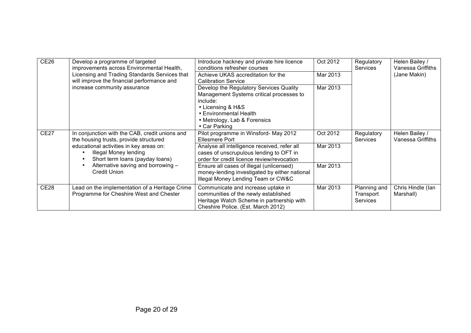| <b>CE26</b>      | Develop a programme of targeted<br>improvements across Environmental Health,                        | Introduce hackney and private hire licence<br>conditions refresher courses                                                                                                                      | Oct 2012<br>Regulatory<br><b>Services</b> |                                              | Helen Bailey /<br>Vanessa Griffiths |
|------------------|-----------------------------------------------------------------------------------------------------|-------------------------------------------------------------------------------------------------------------------------------------------------------------------------------------------------|-------------------------------------------|----------------------------------------------|-------------------------------------|
|                  | Licensing and Trading Standards Services that<br>will improve the financial performance and         | Achieve UKAS accreditation for the<br><b>Calibration Service</b>                                                                                                                                | Mar 2013                                  |                                              | (Jane Makin)                        |
|                  | increase community assurance                                                                        | Develop the Regulatory Services Quality<br>Management Systems critical processes to<br>include:<br>• Licensing & H&S<br>• Environmental Health<br>• Metrology, Lab & Forensics<br>• Car Parking | Mar 2013                                  |                                              |                                     |
| <b>CE27</b>      | In conjunction with the CAB, credit unions and<br>the housing trusts, provide structured            | Pilot programme in Winsford- May 2012<br><b>Ellesmere Port</b>                                                                                                                                  | Oct 2012                                  | Regulatory<br><b>Services</b>                | Helen Bailey /<br>Vanessa Griffiths |
|                  | educational activities in key areas on:<br>Illegal Money lending<br>Short term loans (payday loans) | Analyse all intelligence received, refer all<br>cases of unscrupulous lending to OFT in<br>order for credit licence review/revocation                                                           | Mar 2013                                  |                                              |                                     |
|                  | Alternative saving and borrowing -<br><b>Credit Union</b>                                           | Ensure all cases of illegal (unlicensed)<br>money-lending investigated by either national<br>Illegal Money Lending Team or CW&C                                                                 | Mar 2013                                  |                                              |                                     |
| CE <sub>28</sub> | Lead on the implementation of a Heritage Crime<br>Programme for Cheshire West and Chester           | Communicate and increase uptake in<br>communities of the newly established<br>Heritage Watch Scheme in partnership with<br>Cheshire Police. (Est. March 2012)                                   | Mar 2013                                  | Planning and<br>Transport<br><b>Services</b> | Chris Hindle (lan<br>Marshall)      |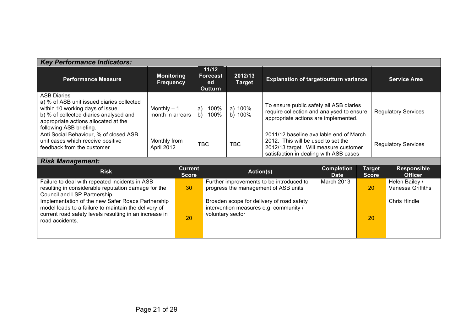| <b>Key Performance Indicators:</b>                                                                                                                                                                               |                                                                                                       |                                |                                                  |                                                                                  |                                                                                                                                                                  |                                               |                               |                                            |  |
|------------------------------------------------------------------------------------------------------------------------------------------------------------------------------------------------------------------|-------------------------------------------------------------------------------------------------------|--------------------------------|--------------------------------------------------|----------------------------------------------------------------------------------|------------------------------------------------------------------------------------------------------------------------------------------------------------------|-----------------------------------------------|-------------------------------|--------------------------------------------|--|
| <b>Performance Measure</b>                                                                                                                                                                                       | <b>Monitoring</b><br><b>Frequency</b>                                                                 |                                | 11/12<br><b>Forecast</b><br>ed<br><b>Outturn</b> | 2012/13<br><b>Target</b>                                                         |                                                                                                                                                                  | <b>Explanation of target/outturn variance</b> |                               | <b>Service Area</b>                        |  |
| <b>ASB Diaries</b><br>a) % of ASB unit issued diaries collected<br>within 10 working days of issue.<br>b) % of collected diaries analysed and<br>appropriate actions allocated at the<br>following ASB briefing. | Monthly $-1$<br>month in arrears                                                                      |                                | 100%<br>a)<br>b)<br>100%                         | a) 100%<br>b) 100%                                                               | To ensure public safety all ASB diaries<br>require collection and analysed to ensure<br>appropriate actions are implemented.                                     |                                               |                               | <b>Regulatory Services</b>                 |  |
| Anti Social Behaviour, % of closed ASB<br>unit cases which receive positive<br>feedback from the customer                                                                                                        | Monthly from<br>April 2012                                                                            |                                | <b>TBC</b>                                       | <b>TBC</b>                                                                       | 2011/12 baseline available end of March<br>2012. This will be used to set the<br>2012/13 target. Will measure customer<br>satisfaction in dealing with ASB cases |                                               |                               | <b>Regulatory Services</b>                 |  |
| <b>Risk Management:</b>                                                                                                                                                                                          |                                                                                                       |                                |                                                  |                                                                                  |                                                                                                                                                                  |                                               |                               |                                            |  |
| <b>Risk</b>                                                                                                                                                                                                      |                                                                                                       | <b>Current</b><br><b>Score</b> |                                                  | Action(s)                                                                        |                                                                                                                                                                  | <b>Completion</b><br><b>Date</b>              | <b>Target</b><br><b>Score</b> | <b>Responsible</b><br><b>Officer</b>       |  |
| Council and LSP Partnership                                                                                                                                                                                      | Failure to deal with repeated incidents in ASB<br>resulting in considerable reputation damage for the |                                |                                                  | Further improvements to be introduced to<br>progress the management of ASB units |                                                                                                                                                                  | March 2013                                    | 20                            | Helen Bailey /<br><b>Vanessa Griffiths</b> |  |
| Implementation of the new Safer Roads Partnership<br>model leads to a failure to maintain the delivery of<br>current road safety levels resulting in an increase in<br>road accidents.                           |                                                                                                       | 20                             | voluntary sector                                 |                                                                                  | Broaden scope for delivery of road safety<br>intervention measures e.g. community /                                                                              |                                               | 20                            | <b>Chris Hindle</b>                        |  |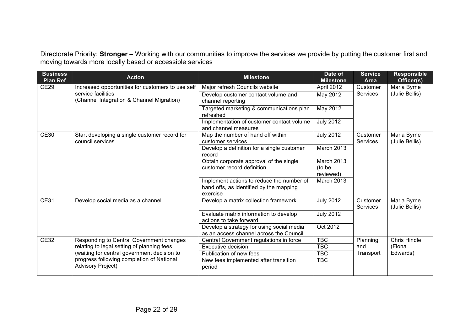Directorate Priority: **Stronger** – Working with our communities to improve the services we provide by putting the customer first and moving towards more locally based or accessible services

| <b>Business</b><br><b>Plan Ref</b> | <b>Action</b>                                                         | <b>Milestone</b>                                                                                 | Date of<br><b>Milestone</b>       | <b>Service</b><br>Area      | <b>Responsible</b><br>Officer(s) |
|------------------------------------|-----------------------------------------------------------------------|--------------------------------------------------------------------------------------------------|-----------------------------------|-----------------------------|----------------------------------|
| <b>CE29</b>                        | Increased opportunities for customers to use self                     | Major refresh Councils website                                                                   | April 2012                        | Customer                    | Maria Byrne                      |
|                                    | service facilities<br>(Channel Integration & Channel Migration)       | Develop customer contact volume and<br>channel reporting                                         | May 2012                          | <b>Services</b>             | (Julie Bellis)                   |
|                                    |                                                                       | Targeted marketing & communications plan<br>refreshed                                            | May 2012                          |                             |                                  |
|                                    |                                                                       | Implementation of customer contact volume<br>and channel measures                                | <b>July 2012</b>                  |                             |                                  |
| <b>CE30</b>                        | Start developing a single customer record for<br>council services     | Map the number of hand off within<br>customer services                                           | <b>July 2012</b>                  | Customer<br><b>Services</b> | Maria Byrne<br>(Julie Bellis)    |
|                                    |                                                                       | Develop a definition for a single customer<br>record                                             | March 2013                        |                             |                                  |
|                                    |                                                                       | Obtain corporate approval of the single<br>customer record definition                            | March 2013<br>(to be<br>reviewed) |                             |                                  |
|                                    |                                                                       | Implement actions to reduce the number of<br>hand offs, as identified by the mapping<br>exercise | March 2013                        |                             |                                  |
| <b>CE31</b>                        | Develop social media as a channel                                     | Develop a matrix collection framework                                                            | <b>July 2012</b>                  | Customer<br><b>Services</b> | Maria Byrne<br>(Julie Bellis)    |
|                                    |                                                                       | Evaluate matrix information to develop<br>actions to take forward                                | <b>July 2012</b>                  |                             |                                  |
|                                    |                                                                       | Develop a strategy for using social media<br>as an access channel across the Council             | Oct 2012                          |                             |                                  |
| CE32                               | Responding to Central Government changes                              | Central Government regulations in force                                                          | <b>TBC</b>                        | Planning                    | Chris Hindle                     |
|                                    | relating to legal setting of planning fees                            | Executive decision                                                                               | <b>TBC</b>                        | and                         | (Fiona                           |
|                                    | (waiting for central government decision to                           | Publication of new fees                                                                          | <b>TBC</b>                        | Transport                   | Edwards)                         |
|                                    | progress following completion of National<br><b>Advisory Project)</b> | New fees implemented after transition<br>period                                                  | <b>TBC</b>                        |                             |                                  |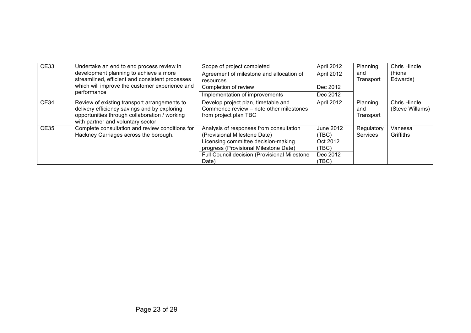| CE33        | Undertake an end to end process review in                                                                                                                                          | Scope of project completed                                                                                                                                                                                       | April 2012                                                   | Planning                      | <b>Chris Hindle</b>                    |
|-------------|------------------------------------------------------------------------------------------------------------------------------------------------------------------------------------|------------------------------------------------------------------------------------------------------------------------------------------------------------------------------------------------------------------|--------------------------------------------------------------|-------------------------------|----------------------------------------|
|             | development planning to achieve a more<br>streamlined, efficient and consistent processes<br>which will improve the customer experience and                                        | Agreement of milestone and allocation of<br>resources                                                                                                                                                            | April 2012                                                   | and<br>Transport              | (Fiona<br>Edwards)                     |
|             |                                                                                                                                                                                    | Completion of review                                                                                                                                                                                             | Dec 2012                                                     |                               |                                        |
|             | performance                                                                                                                                                                        | Implementation of improvements                                                                                                                                                                                   | Dec 2012                                                     |                               |                                        |
| <b>CE34</b> | Review of existing transport arrangements to<br>delivery efficiency savings and by exploring<br>opportunities through collaboration / working<br>with partner and voluntary sector | Develop project plan, timetable and<br>Commence review - note other milestones<br>from project plan TBC                                                                                                          | April 2012                                                   | Planning<br>and<br>Transport  | <b>Chris Hindle</b><br>(Steve Willams) |
| <b>CE35</b> | Complete consultation and review conditions for<br>Hackney Carriages across the borough.                                                                                           | Analysis of responses from consultation<br>(Provisional Milestone Date)<br>Licensing committee decision-making<br>progress (Provisional Milestone Date)<br>Full Council decision (Provisional Milestone<br>Date) | June 2012<br>(TBC)<br>Oct 2012<br>(TEC)<br>Dec 2012<br>(TEC) | Regulatory<br><b>Services</b> | Vanessa<br>Griffiths                   |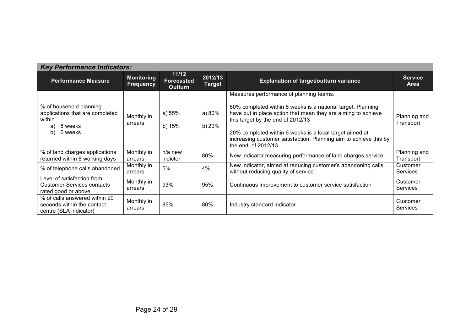| <b>Key Performance Indicators:</b>                                                                     |                                       |                                              |                          |                                                                                                                                                                                                                                                                                                                                                                    |                               |
|--------------------------------------------------------------------------------------------------------|---------------------------------------|----------------------------------------------|--------------------------|--------------------------------------------------------------------------------------------------------------------------------------------------------------------------------------------------------------------------------------------------------------------------------------------------------------------------------------------------------------------|-------------------------------|
| <b>Performance Measure</b>                                                                             | <b>Monitoring</b><br><b>Frequency</b> | 11/12<br><b>Forecasted</b><br><b>Outturn</b> | 2012/13<br><b>Target</b> | <b>Explanation of target/outturn variance</b>                                                                                                                                                                                                                                                                                                                      | <b>Service</b><br><b>Area</b> |
| % of household planning<br>applications that are completed<br>within<br>8 weeks<br>a)<br>6 weeks<br>b) | Monthly in<br>arrears                 | a) $55%$<br>b) 15%                           | a) $80%$<br>b) 20%       | Measures performance of planning teams.<br>80% completed within 8 weeks is a national target. Planning<br>have put in place action that mean they are aiming to achieve<br>this target by the end of 2012/13<br>20% completed within 6 weeks is a local target aimed at<br>increasing customer satisfaction. Planning aim to achieve this by<br>the end of 2012/13 | Planning and<br>Transport     |
| % of land charges applications<br>returned within 8 working days                                       | Monthly in<br>arrears                 | n/a new<br>indictor                          | 80%                      | New indicator measuring performance of land charges service.                                                                                                                                                                                                                                                                                                       | Planning and<br>Transport     |
| % of telephone calls abandoned                                                                         | Monthly in<br>arrears                 | 5%                                           | 4%                       | New indicator, aimed at reducing customer's abandoning calls<br>without reducing quality of service                                                                                                                                                                                                                                                                | Customer<br>Services          |
| Level of satisfaction from<br><b>Customer Services contacts</b><br>rated good or above                 | Monthly in<br>arrears                 | 93%                                          | 95%                      | Continuous improvement to customer service satisfaction                                                                                                                                                                                                                                                                                                            | Customer<br>Services          |
| % of calls answered within 20<br>seconds within the contact<br>centre (SLA indicator)                  | Monthly in<br>arrears                 | 85%                                          | 80%                      | Industry standard indicator                                                                                                                                                                                                                                                                                                                                        | Customer<br><b>Services</b>   |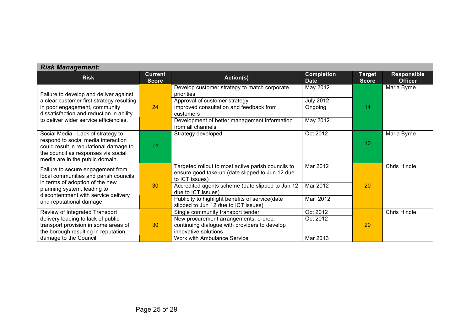| <b>Risk Management:</b>                                                                                                                                                                                         |                                |                                                                                                                                                                                                                                                                                              |                                                     |                               |                                      |
|-----------------------------------------------------------------------------------------------------------------------------------------------------------------------------------------------------------------|--------------------------------|----------------------------------------------------------------------------------------------------------------------------------------------------------------------------------------------------------------------------------------------------------------------------------------------|-----------------------------------------------------|-------------------------------|--------------------------------------|
| <b>Risk</b>                                                                                                                                                                                                     | <b>Current</b><br><b>Score</b> | Action(s)                                                                                                                                                                                                                                                                                    | <b>Completion</b><br><b>Date</b>                    | <b>Target</b><br><b>Score</b> | <b>Responsible</b><br><b>Officer</b> |
| Failure to develop and deliver against<br>a clear customer first strategy resulting<br>in poor engagement, community<br>dissatisfaction and reduction in ability<br>to deliver wider service efficiencies.      | 24                             | Develop customer strategy to match corporate<br>priorities<br>Approval of customer strategy<br>Improved consultation and feedback from<br>customers<br>Development of better management information<br>from all channels                                                                     | May 2012<br><b>July 2012</b><br>Ongoing<br>May 2012 | 14                            | Maria Byrne                          |
| Social Media - Lack of strategy to<br>respond to social media interaction<br>could result in reputational damage to<br>the council as responses via social<br>media are in the public domain.                   | 12 <sup>2</sup>                | Strategy developed                                                                                                                                                                                                                                                                           | Oct 2012                                            | 10                            | Maria Byrne                          |
| Failure to secure engagement from<br>local communities and parish councils<br>in terms of adoption of the new<br>planning system, leading to<br>discontentment with service delivery<br>and reputational damage | 30                             | Targeted rollout to most active parish councils to<br>ensure good take-up (date slipped to Jun 12 due<br>to ICT issues)<br>Accredited agents scheme (date slipped to Jun 12<br>due to ICT issues)<br>Publicity to highlight benefits of service(date<br>slipped to Jun 12 due to ICT issues) | Mar 2012<br><b>Mar 2012</b><br>Mar 2012             | 20                            | <b>Chris Hindle</b>                  |
| Review of Integrated Transport<br>delivery leading to lack of public<br>transport provision in some areas of<br>the borough resulting in reputation<br>damage to the Council                                    | 30                             | Single community transport tender<br>New procurement arrangements, e-proc,<br>continuing dialogue with providers to develop<br>innovative solutions<br>Work with Ambulance Service                                                                                                           | Oct 2012<br>Oct 2012<br>Mar 2013                    | 20                            | <b>Chris Hindle</b>                  |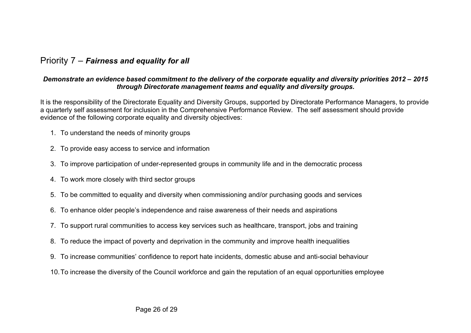#### Priority 7 – *Fairness and equality for all*

#### *Demonstrate an evidence based commitment to the delivery of the corporate equality and diversity priorities 2012 – 2015 through Directorate management teams and equality and diversity groups.*

It is the responsibility of the Directorate Equality and Diversity Groups, supported by Directorate Performance Managers, to provide a quarterly self assessment for inclusion in the Comprehensive Performance Review. The self assessment should provide evidence of the following corporate equality and diversity objectives:

- 1. To understand the needs of minority groups
- 2. To provide easy access to service and information
- 3. To improve participation of under-represented groups in community life and in the democratic process
- 4. To work more closely with third sector groups
- 5. To be committed to equality and diversity when commissioning and/or purchasing goods and services
- 6. To enhance older people's independence and raise awareness of their needs and aspirations
- 7. To support rural communities to access key services such as healthcare, transport, jobs and training
- 8. To reduce the impact of poverty and deprivation in the community and improve health inequalities
- 9. To increase communities' confidence to report hate incidents, domestic abuse and anti-social behaviour
- 10.To increase the diversity of the Council workforce and gain the reputation of an equal opportunities employee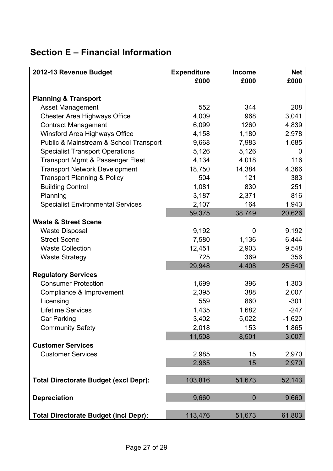# **Section E – Financial Information**

| 2012-13 Revenue Budget                       | <b>Expenditure</b> | <b>Income</b> | Net          |
|----------------------------------------------|--------------------|---------------|--------------|
|                                              | £000               | £000          | £000         |
| <b>Planning &amp; Transport</b>              |                    |               |              |
| <b>Asset Management</b>                      | 552                | 344           | 208          |
| <b>Chester Area Highways Office</b>          | 4,009              | 968           | 3,041        |
| <b>Contract Management</b>                   | 6,099              | 1260          | 4,839        |
| Winsford Area Highways Office                | 4,158              | 1,180         | 2,978        |
| Public & Mainstream & School Transport       | 9,668              | 7,983         | 1,685        |
| <b>Specialist Transport Operations</b>       | 5,126              | 5,126         | $\mathbf{0}$ |
| Transport Mgmt & Passenger Fleet             | 4,134              | 4,018         | 116          |
| <b>Transport Network Development</b>         | 18,750             | 14,384        | 4,366        |
| <b>Transport Planning &amp; Policy</b>       | 504                | 121           | 383          |
| <b>Building Control</b>                      | 1,081              | 830           | 251          |
| Planning                                     | 3,187              | 2,371         | 816          |
| <b>Specialist Environmental Services</b>     | 2,107              | 164           | 1,943        |
|                                              | 59,375             | 38,749        | 20,626       |
| <b>Waste &amp; Street Scene</b>              |                    |               |              |
| <b>Waste Disposal</b>                        | 9,192              | 0             | 9,192        |
| <b>Street Scene</b>                          | 7,580              | 1,136         | 6,444        |
| <b>Waste Collection</b>                      | 12,451             | 2,903         | 9,548        |
| <b>Waste Strategy</b>                        | 725                | 369           | 356          |
|                                              | 29,948             | 4,408         | 25,540       |
| <b>Regulatory Services</b>                   |                    |               |              |
| <b>Consumer Protection</b>                   | 1,699              | 396           | 1,303        |
| Compliance & Improvement                     | 2,395              | 388           | 2,007        |
| Licensing                                    | 559                | 860           | $-301$       |
| <b>Lifetime Services</b>                     | 1,435              | 1,682         | $-247$       |
| <b>Car Parking</b>                           | 3,402              | 5,022         | $-1,620$     |
| <b>Community Safety</b>                      | 2,018              | 153           | 1,865        |
|                                              | 11,508             | 8,501         | 3,007        |
| <b>Customer Services</b>                     |                    |               |              |
| <b>Customer Services</b>                     | 2.985              | 15            | 2,970        |
|                                              | 2,985              | 15            | 2,970        |
| <b>Total Directorate Budget (excl Depr):</b> | 103,816            | 51,673        | 52,143       |
|                                              |                    |               |              |
| <b>Depreciation</b>                          | 9,660              | $\theta$      | 9,660        |
|                                              |                    |               |              |
| <b>Total Directorate Budget (incl Depr):</b> | 113,476            | 51,673        | 61,803       |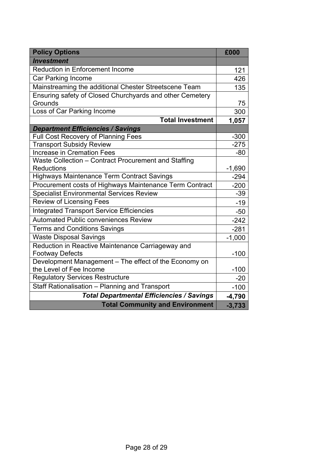| <b>Policy Options</b>                                    |                |  |  |
|----------------------------------------------------------|----------------|--|--|
| <b>Investment</b>                                        |                |  |  |
| Reduction in Enforcement Income                          |                |  |  |
| Car Parking Income                                       |                |  |  |
| Mainstreaming the additional Chester Streetscene Team    |                |  |  |
| Ensuring safety of Closed Churchyards and other Cemetery |                |  |  |
| Grounds                                                  |                |  |  |
| Loss of Car Parking Income                               |                |  |  |
| <b>Total Investment</b>                                  | 1,057          |  |  |
| <b>Department Efficiencies / Savings</b>                 |                |  |  |
| <b>Full Cost Recovery of Planning Fees</b>               | $-300$         |  |  |
| <b>Transport Subsidy Review</b>                          | $-275$         |  |  |
| <b>Increase in Cremation Fees</b>                        | $-80$          |  |  |
| Waste Collection - Contract Procurement and Staffing     |                |  |  |
| <b>Reductions</b>                                        | $-1,690$       |  |  |
| <b>Highways Maintenance Term Contract Savings</b>        | $-294$         |  |  |
| Procurement costs of Highways Maintenance Term Contract  | $-200$         |  |  |
| <b>Specialist Environmental Services Review</b>          | $-39$<br>$-19$ |  |  |
| <b>Review of Licensing Fees</b>                          |                |  |  |
| <b>Integrated Transport Service Efficiencies</b>         |                |  |  |
| <b>Automated Public conveniences Review</b>              |                |  |  |
| <b>Terms and Conditions Savings</b>                      | $-281$         |  |  |
| <b>Waste Disposal Savings</b>                            |                |  |  |
| Reduction in Reactive Maintenance Carriageway and        |                |  |  |
| <b>Footway Defects</b>                                   |                |  |  |
| Development Management - The effect of the Economy on    |                |  |  |
| the Level of Fee Income                                  |                |  |  |
| <b>Regulatory Services Restructure</b>                   |                |  |  |
| Staff Rationalisation - Planning and Transport           |                |  |  |
| <b>Total Departmental Efficiencies / Savings</b>         |                |  |  |
| <b>Total Community and Environment</b>                   | $-3,733$       |  |  |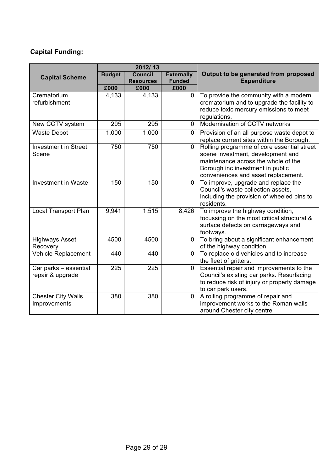#### **Capital Funding:**

|                                           | 2012/13       |                                    |                                    |                                                                                                                                                                                                   |  |
|-------------------------------------------|---------------|------------------------------------|------------------------------------|---------------------------------------------------------------------------------------------------------------------------------------------------------------------------------------------------|--|
| <b>Capital Scheme</b>                     | <b>Budget</b> | <b>Council</b><br><b>Resources</b> | <b>Externally</b><br><b>Funded</b> | Output to be generated from proposed<br><b>Expenditure</b>                                                                                                                                        |  |
|                                           | £000          | £000                               | £000                               |                                                                                                                                                                                                   |  |
| Crematorium<br>refurbishment              | 4,133         | 4,133                              | $\overline{0}$                     | To provide the community with a modern<br>crematorium and to upgrade the facility to<br>reduce toxic mercury emissions to meet<br>regulations.                                                    |  |
| New CCTV system                           | 295           | 295                                | $\mathbf{0}$                       | Modernisation of CCTV networks                                                                                                                                                                    |  |
| <b>Waste Depot</b>                        | 1,000         | 1,000                              | $\mathbf 0$                        | Provision of an all purpose waste depot to<br>replace current sites within the Borough.                                                                                                           |  |
| <b>Investment in Street</b><br>Scene      | 750           | 750                                | $\Omega$                           | Rolling programme of core essential street<br>scene investment, development and<br>maintenance across the whole of the<br>Borough inc investment in public<br>conveniences and asset replacement. |  |
| <b>Investment in Waste</b>                | 150           | 150                                | $\mathbf{0}$                       | To improve, upgrade and replace the<br>Council's waste collection assets,<br>including the provision of wheeled bins to<br>residents.                                                             |  |
| <b>Local Transport Plan</b>               | 9,941         | 1,515                              | 8,426                              | To improve the highway condition,<br>focussing on the most critical structural &<br>surface defects on carriageways and<br>footways.                                                              |  |
| <b>Highways Asset</b><br>Recovery         | 4500          | 4500                               | 0                                  | To bring about a significant enhancement<br>of the highway condition.                                                                                                                             |  |
| Vehicle Replacement                       | 440           | 440                                | $\mathbf 0$                        | To replace old vehicles and to increase<br>the fleet of gritters.                                                                                                                                 |  |
| Car parks - essential<br>repair & upgrade | 225           | 225                                | $\mathbf 0$                        | Essential repair and improvements to the<br>Council's existing car parks. Resurfacing<br>to reduce risk of injury or property damage<br>to car park users.                                        |  |
| <b>Chester City Walls</b><br>Improvements | 380           | 380                                | $\mathbf 0$                        | A rolling programme of repair and<br>improvement works to the Roman walls<br>around Chester city centre                                                                                           |  |